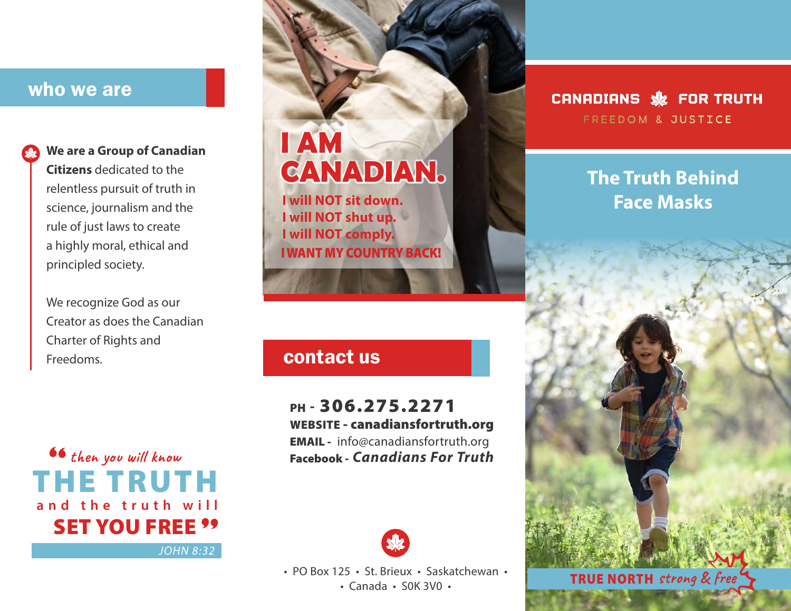## who we are



## **We are a Group of Canadian**

**Citizens** dedicated to the relentless pursuit of truth in science, journalism and the rule of just laws to create a highly moral, ethical and principled society.

We recognize God as our Creator as does the Canadian Charter of Rights and Freedoms. **Contact us** 

**then you will know** THE TRUTH **and the truth will SET YOU FREE ''** 

*JOHN 8:32*

# **I AM CANADIAN.**

**I will NOT sit down. I will NOT shut up. I will NOT comply.** I WANT MY COUNTRY BACK!

## PH - 306.275.2271 WEBSITE - canadiansfortruth.org

EMAIL - info@canadiansfortruth.org *Canadians For Truth* Facebook -



• PO Box 125 • St. Brieux • Saskatchewan •

## CANADIANS SE FOR TRUTH **FREEDOM & JUSTICE**

## **The Truth Behind Face Masks**